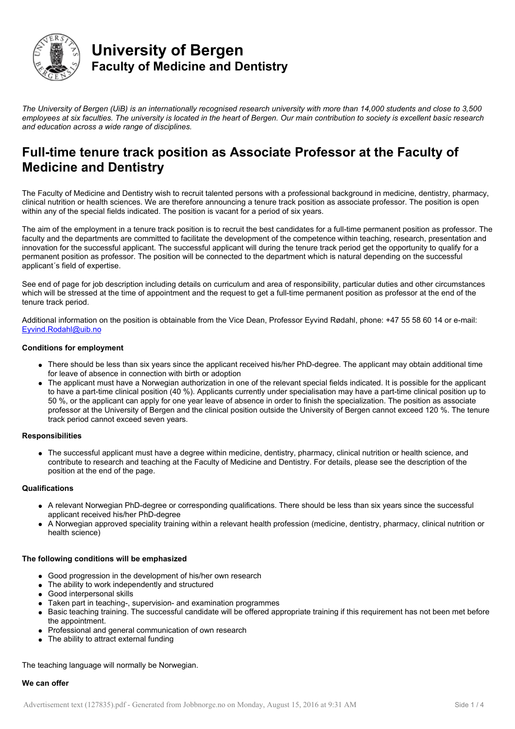

# **University of Bergen Faculty of Medicine and Dentistry**

*The University of Bergen (UiB) is an internationally recognised research university with more than 14,000 students and close to 3,500 employees at six faculties. The university is located in the heart of Bergen. Our main contribution to society is excellent basic research and education across a wide range of disciplines.*

# **Full-time tenure track position as Associate Professor at the Faculty of Medicine and Dentistry**

The Faculty of Medicine and Dentistry wish to recruit talented persons with a professional background in medicine, dentistry, pharmacy, clinical nutrition or health sciences. We are therefore announcing a tenure track position as associate professor. The position is open within any of the special fields indicated. The position is vacant for a period of six years.

The aim of the employment in a tenure track position is to recruit the best candidates for a full-time permanent position as professor. The faculty and the departments are committed to facilitate the development of the competence within teaching, research, presentation and innovation for the successful applicant. The successful applicant will during the tenure track period get the opportunity to qualify for a permanent position as professor. The position will be connected to the department which is natural depending on the successful applicant´s field of expertise.

See end of page for job description including details on curriculum and area of responsibility, particular duties and other circumstances which will be stressed at the time of appointment and the request to get a full-time permanent position as professor at the end of the tenure track period.

Additional information on the position is obtainable from the Vice Dean, Professor Eyvind Rødahl, phone: +47 55 58 60 14 or e-mail: [Eyvind.Rodahl@uib.no](mailto:Eyvind.Rodahl@uib.no)

# **Conditions for employment**

- There should be less than six years since the applicant received his/her PhD-degree. The applicant may obtain additional time for leave of absence in connection with birth or adoption
- The applicant must have a Norwegian authorization in one of the relevant special fields indicated. It is possible for the applicant to have a part-time clinical position (40 %). Applicants currently under specialisation may have a part-time clinical position up to 50 %, or the applicant can apply for one year leave of absence in order to finish the specialization. The position as associate professor at the University of Bergen and the clinical position outside the University of Bergen cannot exceed 120 %. The tenure track period cannot exceed seven years.

# **Responsibilities**

The successful applicant must have a degree within medicine, dentistry, pharmacy, clinical nutrition or health science, and contribute to research and teaching at the Faculty of Medicine and Dentistry. For details, please see the description of the position at the end of the page.

# **Qualifications**

- A relevant Norwegian PhD-degree or corresponding qualifications. There should be less than six years since the successful applicant received his/her PhD-degree
- A Norwegian approved speciality training within a relevant health profession (medicine, dentistry, pharmacy, clinical nutrition or health science)

# **The following conditions will be emphasized**

- Good progression in the development of his/her own research
- The ability to work independently and structured
- Good interpersonal skills
- Taken part in teaching-, supervision- and examination programmes
- Basic teaching training. The successful candidate will be offered appropriate training if this requirement has not been met before the appointment.
- Professional and general communication of own research
- The ability to attract external funding

The teaching language will normally be Norwegian.

## **We can offer**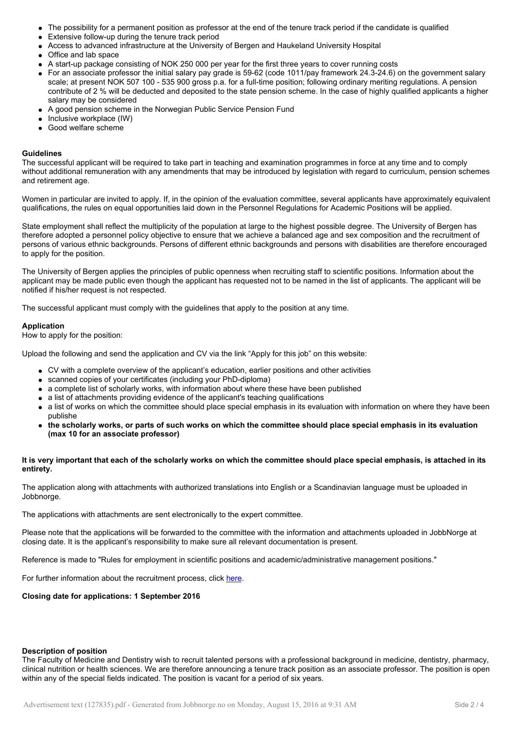- The possibility for a permanent position as professor at the end of the tenure track period if the candidate is qualified
- Extensive follow-up during the tenure track period
- Access to advanced infrastructure at the University of Bergen and Haukeland University Hospital
- Office and lab space
- A start-up package consisting of NOK 250 000 per year for the first three years to cover running costs
- For an associate professor the initial salary pay grade is 59-62 (code 1011/pay framework 24.3-24.6) on the government salary scale; at present NOK 507 100 - 535 900 gross p.a. for a full-time position; following ordinary meriting regulations. A pension contribute of 2 % will be deducted and deposited to the state pension scheme. In the case of highly qualified applicants a higher salary may be considered
- A good pension scheme in the Norwegian Public Service Pension Fund
- $\bullet$  Inclusive workplace (IW)
- Good welfare scheme

#### **Guidelines**

The successful applicant will be required to take part in teaching and examination programmes in force at any time and to comply without additional remuneration with any amendments that may be introduced by legislation with regard to curriculum, pension schemes and retirement age.

Women in particular are invited to apply. If, in the opinion of the evaluation committee, several applicants have approximately equivalent qualifications, the rules on equal opportunities laid down in the Personnel Regulations for Academic Positions will be applied.

State employment shall reflect the multiplicity of the population at large to the highest possible degree. The University of Bergen has therefore adopted a personnel policy objective to ensure that we achieve a balanced age and sex composition and the recruitment of persons of various ethnic backgrounds. Persons of different ethnic backgrounds and persons with disabilities are therefore encouraged to apply for the position.

The University of Bergen applies the principles of public openness when recruiting staff to scientific positions. Information about the applicant may be made public even though the applicant has requested not to be named in the list of applicants. The applicant will be notified if his/her request is not respected.

The successful applicant must comply with the guidelines that apply to the position at any time.

#### **Application**

How to apply for the position:

Upload the following and send the application and CV via the link "Apply for this job" on this website:

- CV with a complete overview of the applicant's education, earlier positions and other activities
- scanned copies of your certificates (including your PhD-diploma)
- a complete list of scholarly works, with information about where these have been published
- a list of attachments providing evidence of the applicant's teaching qualifications
- a list of works on which the committee should place special emphasis in its evaluation with information on where they have been publishe
- **the scholarly works, or parts of such works on which the committee should place special emphasis in its evaluation (max 10 for an associate professor)**

## **It is very important that each of the scholarly works on which the committee should place special emphasis, is attached in its entirety.**

The application along with attachments with authorized translations into English or a Scandinavian language must be uploaded in Jobbnorge.

The applications with attachments are sent electronically to the expert committee.

Please note that the applications will be forwarded to the committee with the information and attachments uploaded in JobbNorge at closing date. It is the applicant's responsibility to make sure all relevant documentation is present.

Reference is made to "Rules for employment in scientific positions and academic/administrative management positions."

For further information about the recruitment process, click [here.](http://www.uib.no/en/poa/74459/appointment-process)

**Closing date for applications: 1 September 2016**

### **Description of position**

The Faculty of Medicine and Dentistry wish to recruit talented persons with a professional background in medicine, dentistry, pharmacy, clinical nutrition or health sciences. We are therefore announcing a tenure track position as an associate professor. The position is open within any of the special fields indicated. The position is vacant for a period of six years.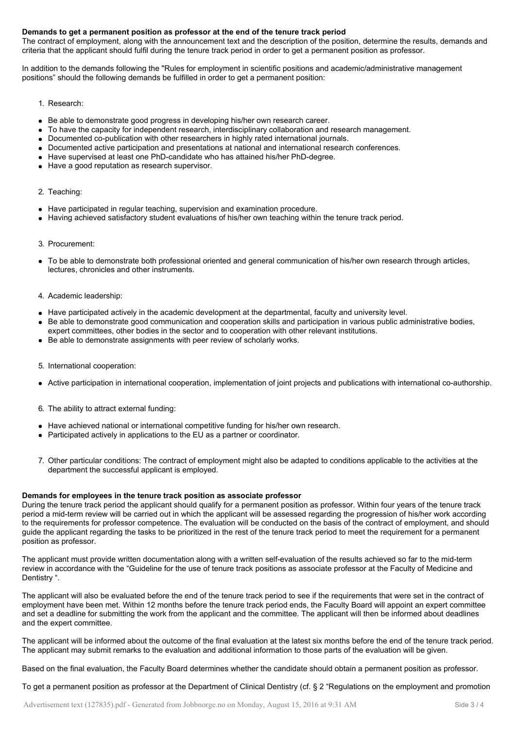# **Demands to get a permanent position as professor at the end of the tenure track period**

The contract of employment, along with the announcement text and the description of the position, determine the results, demands and criteria that the applicant should fulfil during the tenure track period in order to get a permanent position as professor.

In addition to the demands following the "Rules for employment in scientific positions and academic/administrative management positions" should the following demands be fulfilled in order to get a permanent position:

- 1. Research:
- Be able to demonstrate good progress in developing his/her own research career.
- To have the capacity for independent research, interdisciplinary collaboration and research management.
- Documented co-publication with other researchers in highly rated international journals.
- Documented active participation and presentations at national and international research conferences.
- Have supervised at least one PhD-candidate who has attained his/her PhD-degree.
- Have a good reputation as research supervisor.

## 2. Teaching:

- Have participated in regular teaching, supervision and examination procedure.
- Having achieved satisfactory student evaluations of his/her own teaching within the tenure track period.

## 3. Procurement:

- To be able to demonstrate both professional oriented and general communication of his/her own research through articles, lectures, chronicles and other instruments.
- 4. Academic leadership:
- Have participated actively in the academic development at the departmental, faculty and university level.
- Be able to demonstrate good communication and cooperation skills and participation in various public administrative bodies, expert committees, other bodies in the sector and to cooperation with other relevant institutions.
- Be able to demonstrate assignments with peer review of scholarly works.
- 5. International cooperation:
- Active participation in international cooperation, implementation of joint projects and publications with international co-authorship.
- 6. The ability to attract external funding:
- Have achieved national or international competitive funding for his/her own research.
- Participated actively in applications to the EU as a partner or coordinator.
- 7. Other particular conditions: The contract of employment might also be adapted to conditions applicable to the activities at the department the successful applicant is employed.

## **Demands for employees in the tenure track position as associate professor**

During the tenure track period the applicant should qualify for a permanent position as professor. Within four years of the tenure track period a mid-term review will be carried out in which the applicant will be assessed regarding the progression of his/her work according to the requirements for professor competence. The evaluation will be conducted on the basis of the contract of employment, and should guide the applicant regarding the tasks to be prioritized in the rest of the tenure track period to meet the requirement for a permanent position as professor.

The applicant must provide written documentation along with a written self-evaluation of the results achieved so far to the mid-term review in accordance with the "Guideline for the use of tenure track positions as associate professor at the Faculty of Medicine and Dentistry ".

The applicant will also be evaluated before the end of the tenure track period to see if the requirements that were set in the contract of employment have been met. Within 12 months before the tenure track period ends, the Faculty Board will appoint an expert committee and set a deadline for submitting the work from the applicant and the committee. The applicant will then be informed about deadlines and the expert committee.

The applicant will be informed about the outcome of the final evaluation at the latest six months before the end of the tenure track period. The applicant may submit remarks to the evaluation and additional information to those parts of the evaluation will be given.

Based on the final evaluation, the Faculty Board determines whether the candidate should obtain a permanent position as professor.

To get a permanent position as professor at the Department of Clinical Dentistry (cf. § 2 "Regulations on the employment and promotion